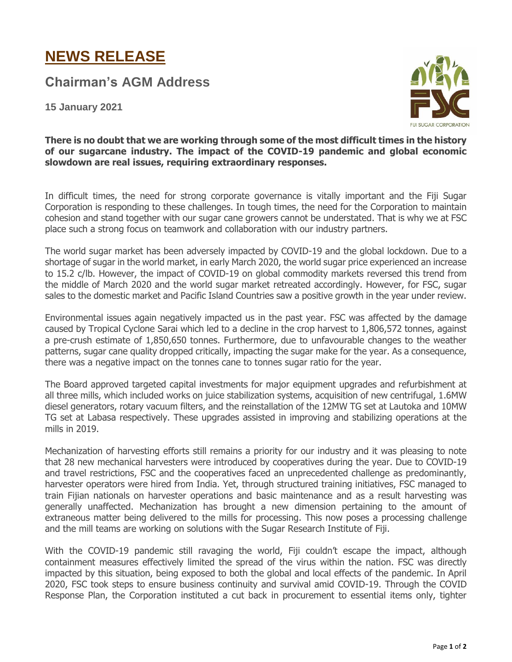## **NEWS RELEASE**

**Chairman's AGM Address**

**15 January 2021**



**There is no doubt that we are working through some of the most difficult times in the history of our sugarcane industry. The impact of the COVID-19 pandemic and global economic slowdown are real issues, requiring extraordinary responses.**

In difficult times, the need for strong corporate governance is vitally important and the Fiji Sugar Corporation is responding to these challenges. In tough times, the need for the Corporation to maintain cohesion and stand together with our sugar cane growers cannot be understated. That is why we at FSC place such a strong focus on teamwork and collaboration with our industry partners.

The world sugar market has been adversely impacted by COVID-19 and the global lockdown. Due to a shortage of sugar in the world market, in early March 2020, the world sugar price experienced an increase to 15.2 c/lb. However, the impact of COVID-19 on global commodity markets reversed this trend from the middle of March 2020 and the world sugar market retreated accordingly. However, for FSC, sugar sales to the domestic market and Pacific Island Countries saw a positive growth in the year under review.

Environmental issues again negatively impacted us in the past year. FSC was affected by the damage caused by Tropical Cyclone Sarai which led to a decline in the crop harvest to 1,806,572 tonnes, against a pre-crush estimate of 1,850,650 tonnes. Furthermore, due to unfavourable changes to the weather patterns, sugar cane quality dropped critically, impacting the sugar make for the year. As a consequence, there was a negative impact on the tonnes cane to tonnes sugar ratio for the year.

The Board approved targeted capital investments for major equipment upgrades and refurbishment at all three mills, which included works on juice stabilization systems, acquisition of new centrifugal, 1.6MW diesel generators, rotary vacuum filters, and the reinstallation of the 12MW TG set at Lautoka and 10MW TG set at Labasa respectively. These upgrades assisted in improving and stabilizing operations at the mills in 2019.

Mechanization of harvesting efforts still remains a priority for our industry and it was pleasing to note that 28 new mechanical harvesters were introduced by cooperatives during the year. Due to COVID-19 and travel restrictions, FSC and the cooperatives faced an unprecedented challenge as predominantly, harvester operators were hired from India. Yet, through structured training initiatives, FSC managed to train Fijian nationals on harvester operations and basic maintenance and as a result harvesting was generally unaffected. Mechanization has brought a new dimension pertaining to the amount of extraneous matter being delivered to the mills for processing. This now poses a processing challenge and the mill teams are working on solutions with the Sugar Research Institute of Fiji.

With the COVID-19 pandemic still ravaging the world, Fiji couldn't escape the impact, although containment measures effectively limited the spread of the virus within the nation. FSC was directly impacted by this situation, being exposed to both the global and local effects of the pandemic. In April 2020, FSC took steps to ensure business continuity and survival amid COVID-19. Through the COVID Response Plan, the Corporation instituted a cut back in procurement to essential items only, tighter